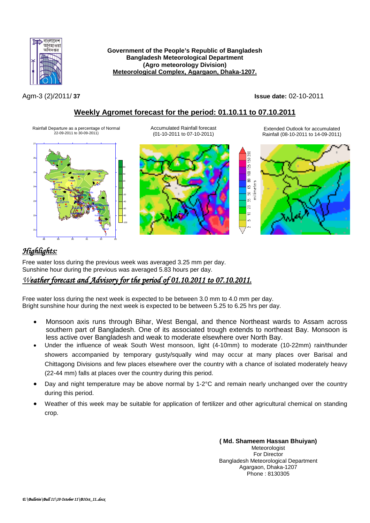

### **Government of the People's Republic of Bangladesh Bangladesh Meteorological Department (Agro meteorology Division) Meteorological Complex, Agargaon, Dhaka-1207.**

Agm-3 (2)/2011/ **37 Issue date:** 02-10-2011

## **Weekly Agromet forecast for the period: 01.10.11 to 07.10.2011**

Rainfall Departure as a percentage of Normal 22-09-2011 to 30-09-2011)







Extended Outlook for accumulated Rainfall (08-10-2011 to 14-09-2011)



# *Highlights:*

Free water loss during the previous week was averaged 3.25 mm per day. Sunshine hour during the previous was averaged 5.83 hours per day.

## *Weather forecast and Advisory for the period of 01.10.2011 to 07.10.2011.*

Free water loss during the next week is expected to be between 3.0 mm to 4.0 mm per day. Bright sunshine hour during the next week is expected to be between 5.25 to 6.25 hrs per day.

- Monsoon axis runs through Bihar, West Bengal, and thence Northeast wards to Assam across southern part of Bangladesh. One of its associated trough extends to northeast Bay. Monsoon is less active over Bangladesh and weak to moderate elsewhere over North Bay.
- Under the influence of weak South West monsoon, light (4-10mm) to moderate (10-22mm) rain/thunder showers accompanied by temporary gusty/squally wind may occur at many places over Barisal and Chittagong Divisions and few places elsewhere over the country with a chance of isolated moderately heavy (22-44 mm) falls at places over the country during this period.
- Day and night temperature may be above normal by 1-2°C and remain nearly unchanged over the country during this period.
- Weather of this week may be suitable for application of fertilizer and other agricultural chemical on standing crop.

**( Md. Shameem Hassan Bhuiyan)** Meteorologist For Director Bangladesh Meteorological Department Agargaon, Dhaka-1207 Phone : 8130305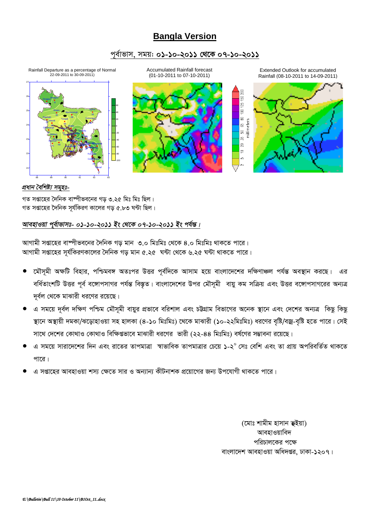# **Bangla Version**

### *c~e©vfvm, mgq: 01-10-2011 †\_‡K 07-10-2011*



গত সপ্তাহের দৈনিক বাম্পীভবনের গড় ৩.২৫ মিঃ মিঃ ছিল।  $\frac{1}{2}$ সপ্তাহের দৈনিক সর্যকিরণ কালের গড় ৫.৮৩ ঘন্টা ছিল।

### *আবহাওয়া পূৰ্বাভাসঃ- ০১-১০-২০১১ ইং থেকে ০৭-১০-২০১১ ইং পৰ্যন্ত।*

 $\overline{\mathbf{x}}$  সঞ্জাহের বাষ্পীভবনের দৈনিক গড় মান ৩.০ মিঃমিঃ থেকে ৪.০ মিঃমিঃ থাকতে পারে। *AvMvgx mßv‡ni m~h©wKiYKv‡ji ˆ`wbK Mo gvb 5.25 N›Uv †\_‡K 6.25 N›Uv \_vK‡Z cv‡i|*

- *‡gŠm~gx A¶wU wenvi, cwðge½ AZtci DËi c~e©w`‡K Avmvg n‡q evsjv‡`‡ki `wÿYvÂj ch©šÍ Ae¯'vb Ki‡Q| Gi*  বর্ধিতাংশটি উত্তর পূর্ব বঙ্গোপসাগর পর্যন্ত বিস্তৃত। বাংলাদেশের উপর মৌসূমী বায়ু কম সক্রিয় এবং উত্তর বঙ্গোপসাগরের অন্যত্র  $\overline{q}$ র্বল থেকে মাঝারী ধরণের রয়েছে।
- এ সময়ে দূর্বল দক্ষিণ পশ্চিম মৌসূমী বায়ুর প্রভাবে বরিশাল এবং চউগ্রাম বিভাগের অনেক স্থানে এবং দেশের অন্যত্র *কিছু* কিছু স্থানে অস্থায়ী দমকা/ঝড়োহাওয়া সহ হালকা (৪-১০ মিঃমিঃ) থেকে মাঝারী (১০-২২মিঃমিঃ) ধরণের বৃষ্টি/বজ্র-বৃষ্টি হতে পারে। সেই সাথে দেশের কোথাও কোথাও বিক্ষিগুভাবে মাঝারী ধরণের ভারী (২২-৪৪ মিঃমিঃ) বর্ষণের সম্ভাবনা রয়েছে।
- *G mg‡q mviv‡`‡ki w`b Ges iv‡Zi ZvcgvÎv ¯^vfvweK ZvcgvÎvi †P‡q 1-2<sup>0</sup> †mt †ewk Ges Zv cÖvq AcwiewZ©Z \_vK‡Z*  <u>পারে</u>।
- *G mßv‡ni AvenvIqv km¨ †ÿ‡Z mvi I Ab¨vb¨ KxUbvkK cÖ‡qv‡Mi Rb¨ Dc‡hvMx \_vK‡Z cv‡i|*

*(*মোঃ শামীম হাসান **ভ্**ইয়া) আবহাওয়াবিদ *প*রিচালকের পক্ষে বাংলাদেশ আবহাওয়া অধিদপ্তর, ঢাকা-১২০৭।